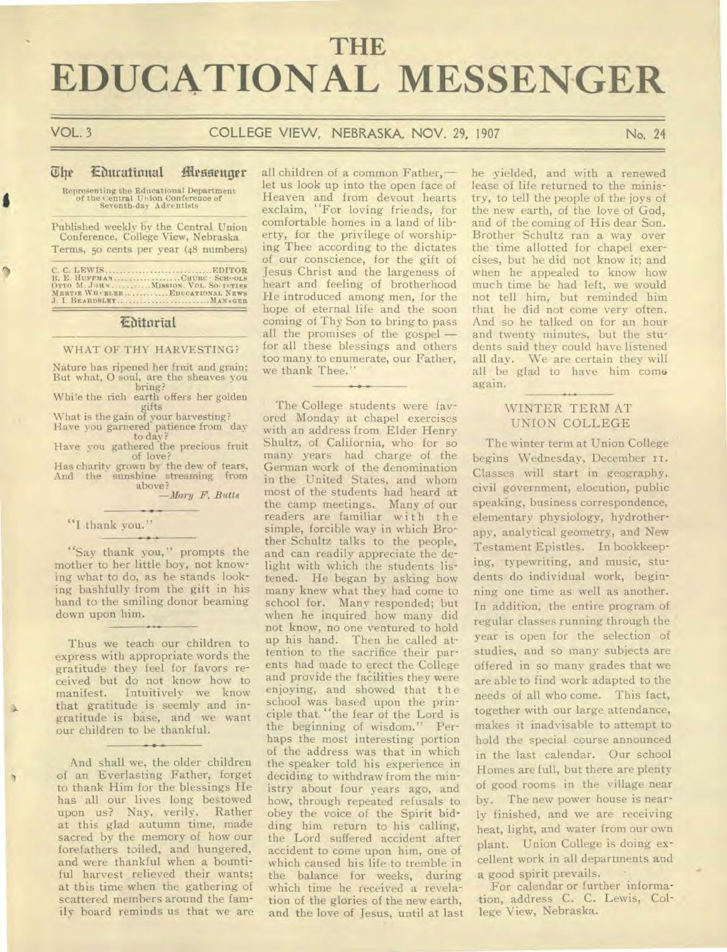# **THE EDUCATIONAL MESSENGER**

٥

# VOL. 3 COLLEGE VIEW, NEBRASKA, NOV. 29, 1907 No. 24

## The Courational Messenger

Representing the Educational Department of the Central Union Conference of Seventh-day Adventists

Published weekly by the Central Union Conference, College View, Nebraska Terms, 5o cents per year (48 numbers)

C. C. LEWIS EDITOR B. E. **HUFFMAN CHURL SCID,OLS OTTO M. JOHN MISSION. VOL. SO,P,TIES MERTIE WH BUGS EDUCATIONAL** NEWS J. **I. BEARDSLEY. MANAGER** 

### /Editorial

## WHAT OF THY HARVESTING?

Nature has ripened her fruit and grain; But what, 0 soul, are the sheaves you bring? Whi!e the rich earth offers her golden

gifts What is the gain of your harvesting? Have you garnered patience from day

to day? Have you gathered the precious fruit of love?

Has charity grown by the dew of tears, And the sunshine streaming from<br>above?

*—Mary F. Butts* 

### "I thank you."

"Say thank you," prompts the mother to her little boy, not knowing what to do, as he stands looking bashfully from the gift in his hand to the smiling donor beaming down upon him.

Thus we teach our children to express with appropriate words the gratitude they feel for favors received but do not know how to<br>manifest. Intuitively we know Intuitively we know that gratitude is seemly and ingratitude is base, and we want our children to be thankful.

And shall we, the older children of an Everlasting Father, forget to thank Him for the blessings He has all our lives long bestowed upon us? Nay, verily. Rather at this glad autumn time, made sacred by the memory of how our forefathers toiled, and hungered, and were thankful when a bountiful harvest relieved their wants; at this time when the gathering of scattered members around the family board reminds us that we are

all children of a common Father, let us look up into the open face of Heaven and from devout hearts exclaim, "For loving friends, for comfortable homes in a land of liberty, for the privilege of worshiping Thee according to the dictates of our conscience, for the gift of Jesus Christ and the largeness of heart and feeling of brotherhood He introduced among men, for the hope of eternal life and the soon coming of Thy Son to bring to pass all the promises of the gospel for all these blessings and others too many to enumerate, our Father, we thank Thee."

The College students were favored Monday at chapel exercises with an address from Elder Henry Shultz, of California, who for so many years had charge of the German work of the denomination in the United States, and whom most of the students had heard at the camp meetings. Many of our readers are familiar with the simple, forcible way in which Brother Schultz talks to the people, and can readily appreciate the delight with which the students listened. He began by asking how many knew what they had come to school for. Many responded; but when he inquired how many did not know, no one ventured to hold up his hand. Then he called attention to the sacrifice their parents had made to erect the College and provide the facilities they were enjoying, and showed that the school was based upon the principle that. "the fear of the Lord is the beginning of wisdom." Perhaps the most interesting portion of the address was that in which the speaker told his experience in deciding to withdraw from the ministry about four years ago, and how, through repeated refusals to obey the voice of the Spirit bidding him return to his calling, the Lord suffered accident after accident to come upon him, one of which caused his life to tremble in the balance for weeks, during which time he received a revelation of the glories of the new earth, and the love of Jesus, until at last he yielded, and with a renewed lease of life returned to the ministry, to tell the people of the joys of the new earth, of the love of God, and of the coming of His dear Son. Brother Schultz ran a way over the time allotted for chapel exercises, but he did not know it; and when he appealed to know how much time he had left, we would not tell him, but reminded him that he did not come very often. And so he talked on for an hour and twenty minutes, but the students said they could have listened all day. We are certain they will all be glad to have him come again.

# WINTER TERM AT UNION COLLEGE

The winter term at Union College begins Wednesday, December 11. Classes will start in geography, civil government, elocution, public speaking, business correspondence, elementary physiology, hydrotherapy, analytical geometry, and New Testament Epistles. In bookkeeping, typewriting, and music, students do individual work, beginning one time as well as another. In addition, the entire program of regular classes running through the year is open for the selection of studies, and so many subjects are offered in so many grades that we are able to find work adapted to the needs of all who come. This fact, together with our large attendance, makes it inadvisable to attempt to hold the special course announced in the last calendar. Our school Homes are full, but there are plenty of good rooms in the village near by. The new power house is nearly finished, and we are receiving heat, light, and water from our own plant. Union College is doing excellent work in all departments and a good spirit prevails.

For calendar or further information, address C. C. Lewis, College View, Nebraska.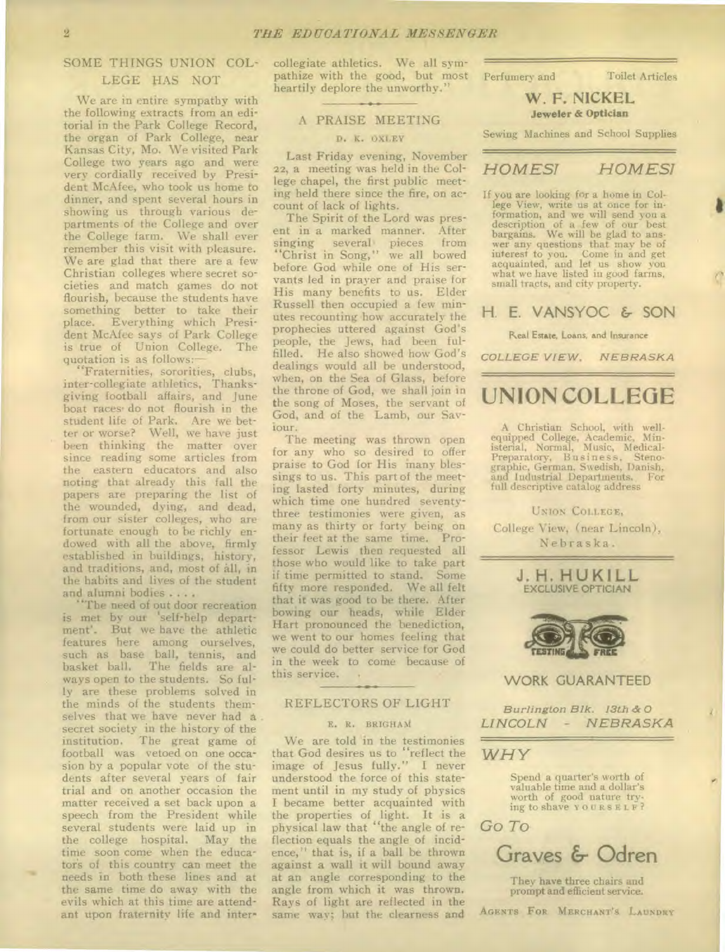# SOME THINGS UNION COL-LEGE HAS NOT

We are in entire sympathy with the following extracts from an editorial in the Park College Record, the organ of Park College, near Kansas City, Mo. We visited Park College two years ago and were very cordially received by President McAfee, who took us home to dinner, and spent several hours in showing us through various departments of the College and over the College farm. We shall ever remember this visit with pleasure. We are glad that there are a few Christian colleges where secret societies and match games do not flourish, because the students have something better to take their place. Everything which President McAfee says of Park College is true of Union College. The quotation is as follows:

"Fraternities, sororities, clubs, inter-collegiate athletics, Thanksgiving football affairs, and June boat races• do not flourish in the student life of Park. Are we better or worse? Well, we have just been thinking the matter over since reading some articles from the eastern educators and also noting that already this fall the papers are preparing the list of the wounded, dying, and dead, from our sister colleges, who are fortunate enough to be richly endowed with all the above, firmly established in buildings, history, and traditions, and, most of all, in the habits and lives of the student and alumni bodies . . . .

"The need of out door recreation is met by our 'self-help department'. But we have the athletic features here among ourselves, such as base ball, tennis, and basket ball. The fields are always open to the students. So fully are these problems solved in the minds of the students themselves that we have never had a secret society in the history of the institution. The great game of football was vetoed on one occasion by a popular vote of the students after several years of fair trial and on another occasion the matter received a set back upon a speech from the President while several students were laid up in the college hospital. May the time soon come when the educator's of this country can meet the needs in both these lines and at the same time do away with the evils which at this time are attendant upon fraternity life and intercollegiate athletics. We all sympathize with the good, but most heartily deplore the unworthy."

## A PRAISE MEETING

### D. K. OXLEY

Last Friday evening, November 22, a meeting was held in the College chapel, the first public meeting held there since the fire, on account of lack of lights.

The Spirit of the Lord was present in a marked manner. After<br>singing several pieces from singing several pieces from "Christ in Song," we all bowed before God while one of His servants led in prayer and praise for His many benefits to us. Elder Russell then occupied a few minutes recounting how accurately the prophecies uttered against God's people, the Jews, had been fulfilled. He also showed how God's dealings would all be understood, when, on the Sea of Glass, before the throne of God, we shall join in the song of Moses, the servant of God, and of the Lamb, our Saviour.

The meeting was thrown open for any who so desired to offer praise to God for His many blessings to us. This part of the meeting lasted forty minutes, during which time one hundred seventythree testimonies were given, as many as thirty or forty being on their feet at the same time. Professor Lewis then requested all those who would like to take part if time permitted to stand. Some fifty more responded. We all felt that it was good to be there. After bowing our heads, while Elder Hart pronounced the benediction, we went to our homes feeling that we could do better service for God in the week to come because of this service. •

### REFLECTORS OF LIGHT

#### E. R. BRIGHAM

We are told in the testimonies that God desires us to "reflect the image of Jesus fully." I never understood the force of this statement until in my study of physics I became better acquainted with the properties of light. It is a physical law that "the angle of reflection equals the angle of incidence," that is, if a ball be thrown against a wall it will bound away at an angle corresponding to the angle from which it was thrown. Rays of light are reflected in the same way; but the clearness and

Perfumery and Toilet Articles

**W. F. NICKEL Jeweler & Optician** 

Sewing Machines and School Supplies

# *HOMES! HOMES!*

If you are looking for a home in College View, write us at once for information, and we will send you a description of a few of our best bargains. We will be glad to answer any questions that may be of interest to you. Come in and get acquainted, and let us show you what we have listed in good farms, small tracts, and city property.

# **H. E.** VANSYOC & SON

### Real Estate, Loans, and Insurance

*COLLEGE VIEW, NEBRASKA* 

# **UNION COLLEGE**

A Christian School, with well-equipped College, Academic, Min-isterial, Normal, Music, Medical-Preparatory, B usin es s, Steno-graphic, German, Swedish, Danish, and Industrial Departments. For full descriptive catalog address

UNION COLLEGE, College View, (near Lincoln), Nebraska.





# WORK GUARANTEED

*Burlington Blk. 13th &* 0 *LINCOLN - NEBRASKA* 

# *WHY*

Spend a quarter's worth of valuable time and a dollar's worth of good nature trying to shave YOURSELF?



**Graves & Odren** 

They have three chairs and prompt and efficient service.

AGENTS FOR MERCHANT'S LAUNDRY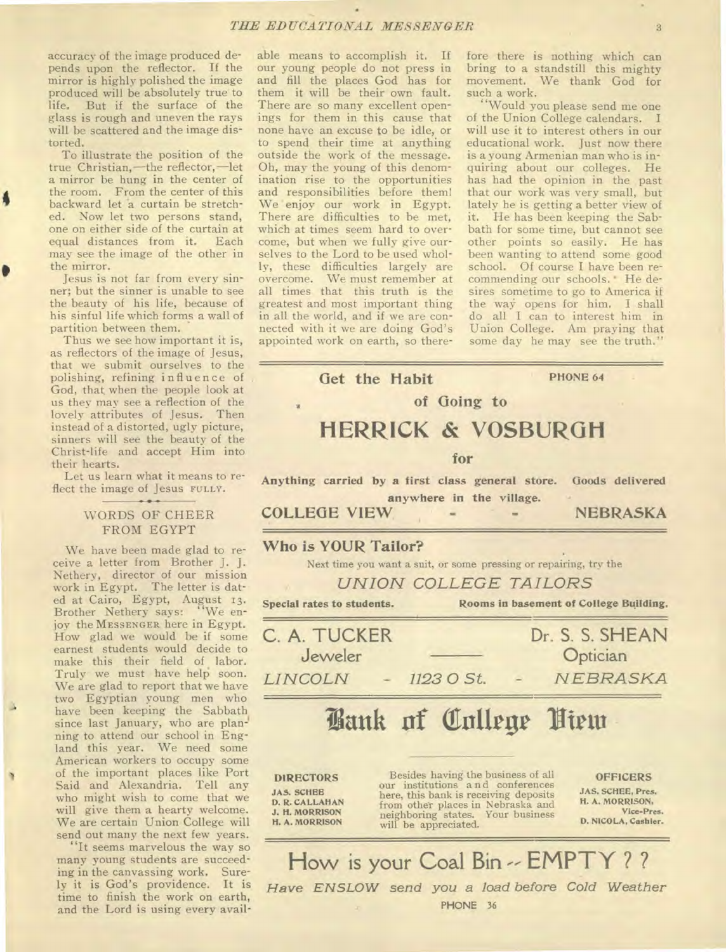accuracy of the image produced depends upon the reflector. If the mirror is highly polished the image produced will be absolutely true to life. But if the surface of the glass is rough and uneven the rays will be scattered and the image distorted.

To illustrate the position of the true Christian,—the reflector,—let a mirror be hung in the center of the room. From the center of this backward let a curtain be stretched. Now let two persons stand, one on either side of the curtain at equal distances from it. Each may see the image of the other in the mirror.

Jesus is not far from every sinner; but the sinner is unable to see the beauty of his life, because of his sinful life which forms a wall of partition between them.

Thus we see how important it is, as reflectors of the image of Jesus, that we submit ourselves to the polishing, refining influence of God, that, when the people look at us they may see a reflection of the lovely attributes of Jesus. Then instead of a distorted, ugly picture, sinners will see the beauty of the Christ-life and accept Him into their hearts.

Let us learn what it means to reflect the image of Jesus **FULLY**.

# WORDS OF CHEER FROM EGYPT

We have been made glad to receive a letter from Brother J. J. Nethery, director of our mission work in Egypt. The letter is dated at Cairo, Egypt, August 13. Brother Nethery says: "We enjoy the **MESSENGER** here in Egypt. How glad we would be if some earnest students would decide to make this their field of labor. Truly we must have help soon. We are glad to report that we have two Egyptian young men who have been keeping the Sabbath since last January, who are planning to attend our school in England this year. We need some American workers to occupy some of the important places like Port Said and Alexandria. Tell any who might wish to come that we will give them a hearty welcome. We are certain Union College will send out many the next few years.

"It seems marvelous the way so many young students are succeeding in the canvassing work. Surely it is God's providence. It is time to finish the work on earth, and the Lord is using every avail-

able means to accomplish it. If our young people do not press in and fill the places God has for them it will be their own fault. There are so many excellent openings for them in this cause that none have an excuse to be idle, or to spend their time at anything outside the work of the message. Oh, may the young of this denomination rise to the opportunities and responsibilities before them! We enjoy our work in Egypt. There are difficulties to be met, which at times seem hard to overcome, but when we fully give ourselves to the Lord to be used wholly, these difficulties largely are overcome. We must remember at all times that this truth is the greatest and most important thing in all the world, and if we are connected with it we are doing God's appointed work on earth, so therefore there is nothing which can bring to a standstill this mighty movement. We thank God for such a work.

"Would you please send me one of the Union College calendars. I will use it to interest others in our educational work. Just now there is a young Armenian man who is inquiring about our colleges. He has had the opinion in the past that our work was very small, but lately he is getting a better view of it. He has been keeping the Sabbath for some time, but cannot see other points so easily. He has been wanting to attend some good school. Of course I have been recommending our schools. ' He desires sometime to go to America if the way opens for him. I shall do all I can to interest him in Union College. Am praying that some day he may see the truth."

**HERRICK & VOSBURGH for Anything carried by a first class general store. anywhere in the village. COLLEGE VIEW (foods delivered NEBRASKA Who is YOUR Tailor?**  Next time you want a suit, or some pressing or repairing, try the *UNION COLLEGE TAILORS*  **Special rates to students. Rooms in basement of College Building.**  C. A. TUCKER Dr. S. S. SHEAN Jeweler — Optician *LINCOLN - 1123 0 St. N EBRASKA*  **Vault of Totirgr Virtu DIRECTORS JAS. SCHEE D. R. CALLAHAN J. H. MORRISON H. A. MORRISON**  Besides having the business of all our institutions and conferences here, this bank is receiving deposits from other places in Nebraska and neighboring states. Your business will be appreciated. **OFFICERS JAS. SCHEE, Pres. H. A. MORRISON, Vice-Pres. D. NICOLA, Cashier. How is your Coal Bin -- EMPTY ? ?**  *Have ENSLOW send you a load before Cold Weather*  **PHONE** 36

Get the Habit **PHONE 64 of Going to**